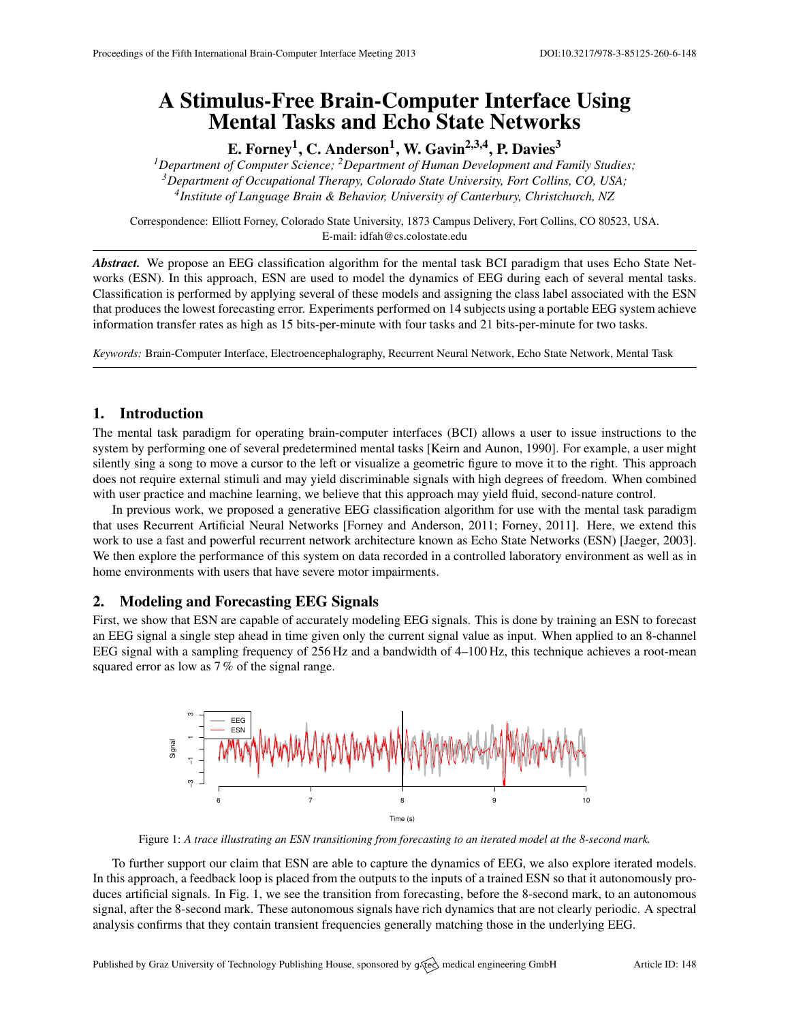# A Stimulus-Free Brain-Computer Interface Using Mental Tasks and Echo State Networks

E. Forney $^1$ , C. Anderson $^1$ , W. Gavin $^{2,3,4}$ , P. Davies $^3$ 

*<sup>1</sup>Department of Computer Science; <sup>2</sup>Department of Human Development and Family Studies; <sup>3</sup>Department of Occupational Therapy, Colorado State University, Fort Collins, CO, USA; 4 Institute of Language Brain & Behavior, University of Canterbury, Christchurch, NZ*

Correspondence: Elliott Forney, Colorado State University, 1873 Campus Delivery, Fort Collins, CO 80523, USA. E-mail: [idfah@cs.colostate.edu](mailto:idfah@cs.colostate.edu)

*Abstract.* We propose an EEG classification algorithm for the mental task BCI paradigm that uses Echo State Networks (ESN). In this approach, ESN are used to model the dynamics of EEG during each of several mental tasks. Classification is performed by applying several of these models and assigning the class label associated with the ESN that produces the lowest forecasting error. Experiments performed on 14 subjects using a portable EEG system achieve information transfer rates as high as 15 bits-per-minute with four tasks and 21 bits-per-minute for two tasks.

*Keywords:* Brain-Computer Interface, Electroencephalography, Recurrent Neural Network, Echo State Network, Mental Task

## 1. Introduction

The mental task paradigm for operating brain-computer interfaces (BCI) allows a user to issue instructions to the system by performing one of several predetermined mental tasks [\[Keirn and Aunon,](#page-1-0) [1990\]](#page-1-0). For example, a user might silently sing a song to move a cursor to the left or visualize a geometric figure to move it to the right. This approach does not require external stimuli and may yield discriminable signals with high degrees of freedom. When combined with user practice and machine learning, we believe that this approach may yield fluid, second-nature control.

In previous work, we proposed a generative EEG classification algorithm for use with the mental task paradigm that uses Recurrent Artificial Neural Networks [\[Forney and Anderson,](#page-1-1) [2011;](#page-1-1) [Forney,](#page-1-2) [2011\]](#page-1-2). Here, we extend this work to use a fast and powerful recurrent network architecture known as Echo State Networks (ESN) [\[Jaeger,](#page-1-3) [2003\]](#page-1-3). We then explore the performance of this system on data recorded in a controlled laboratory environment as well as in home environments with users that have severe motor impairments.

#### 2. Modeling and Forecasting EEG Signals

<span id="page-0-0"></span>First, we show that ESN are capable of accurately modeling EEG signals. This is done by training an ESN to forecast an EEG signal a single step ahead in time given only the current signal value as input. When applied to an 8-channel EEG signal with a sampling frequency of 256 Hz and a bandwidth of 4–100 Hz, this technique achieves a root-mean squared error as low as 7 % of the signal range.



Figure 1: *A trace illustrating an ESN transitioning from forecasting to an iterated model at the 8-second mark.*

To further support our claim that ESN are able to capture the dynamics of EEG, we also explore iterated models. In this approach, a feedback loop is placed from the outputs to the inputs of a trained ESN so that it autonomously pro-duces artificial signals. In Fig. [1,](#page-0-0) we see the transition from forecasting, before the 8-second mark, to an autonomous signal, after the 8-second mark. These autonomous signals have rich dynamics that are not clearly periodic. A spectral analysis confirms that they contain transient frequencies generally matching those in the underlying EEG.